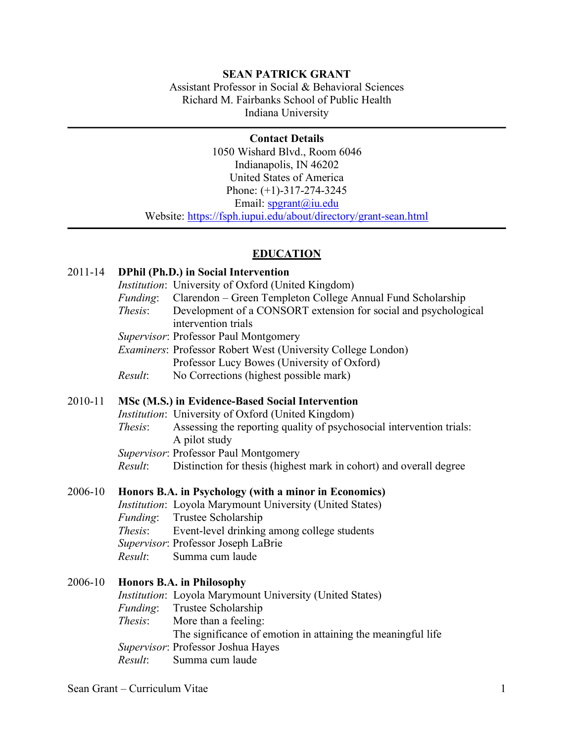## **SEAN PATRICK GRANT**

Assistant Professor in Social & Behavioral Sciences Richard M. Fairbanks School of Public Health Indiana University

**Contact Details** 1050 Wishard Blvd., Room 6046 Indianapolis, IN 46202 United States of America Phone: (+1)-317-274-3245 Email: spgrant@iu.edu Website: https://fsph.iupui.edu/about/directory/grant-sean.html

### **EDUCATION**

#### 2011-14 **DPhil (Ph.D.) in Social Intervention**

- *Institution*: University of Oxford (United Kingdom)
- *Funding*: Clarendon Green Templeton College Annual Fund Scholarship
- *Thesis*: Development of a CONSORT extension for social and psychological intervention trials
- *Supervisor*: Professor Paul Montgomery
- *Examiners*: Professor Robert West (University College London) Professor Lucy Bowes (University of Oxford)
- *Result*: No Corrections (highest possible mark)

### 2010-11 **MSc (M.S.) in Evidence-Based Social Intervention**

*Institution*: University of Oxford (United Kingdom)

- *Thesis*: Assessing the reporting quality of psychosocial intervention trials: A pilot study
- *Supervisor*: Professor Paul Montgomery
- *Result*: Distinction for thesis (highest mark in cohort) and overall degree

#### 2006-10 **Honors B.A. in Psychology (with a minor in Economics)**

*Institution*: Loyola Marymount University (United States) *Funding*: Trustee Scholarship *Thesis*: Event-level drinking among college students *Supervisor*: Professor Joseph LaBrie *Result*: Summa cum laude

# 2006-10 **Honors B.A. in Philosophy**

*Institution*: Loyola Marymount University (United States) *Funding*: Trustee Scholarship *Thesis*: More than a feeling: The significance of emotion in attaining the meaningful life *Supervisor*: Professor Joshua Hayes *Result*: Summa cum laude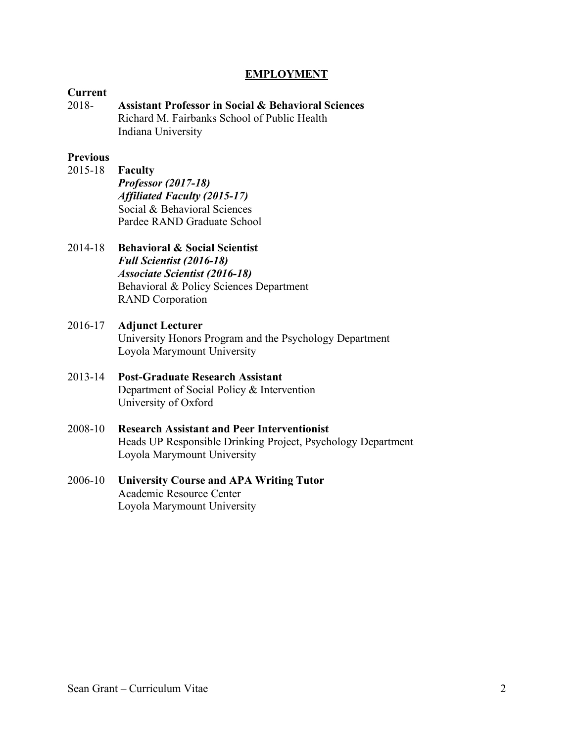## **EMPLOYMENT**

### **Current**

2018- **Assistant Professor in Social & Behavioral Sciences** Richard M. Fairbanks School of Public Health Indiana University

### **Previous**

- 2015-18 **Faculty** *Professor (2017-18) Affiliated Faculty (2015-17)* Social & Behavioral Sciences Pardee RAND Graduate School
- 2014-18 **Behavioral & Social Scientist** *Full Scientist (2016-18) Associate Scientist (2016-18)* Behavioral & Policy Sciences Department RAND Corporation
- 2016-17 **Adjunct Lecturer** University Honors Program and the Psychology Department Loyola Marymount University
- 2013-14 **Post-Graduate Research Assistant** Department of Social Policy & Intervention University of Oxford
- 2008-10 **Research Assistant and Peer Interventionist** Heads UP Responsible Drinking Project, Psychology Department Loyola Marymount University
- 2006-10 **University Course and APA Writing Tutor** Academic Resource Center Loyola Marymount University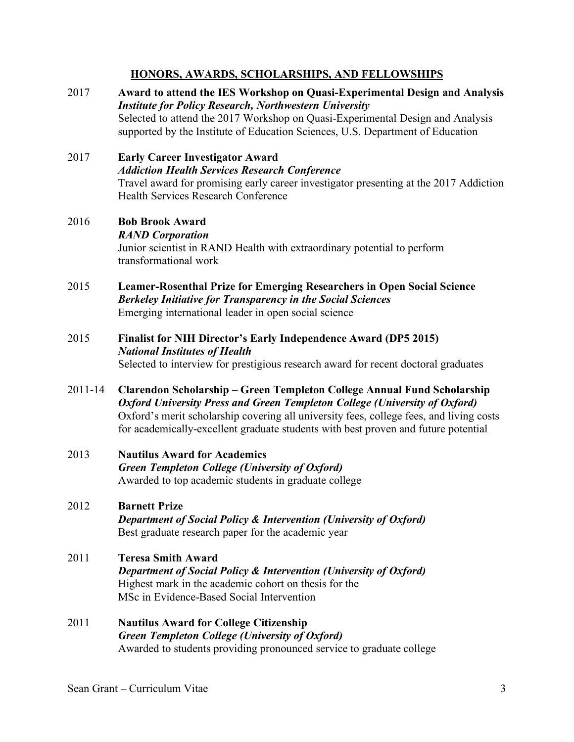## **HONORS, AWARDS, SCHOLARSHIPS, AND FELLOWSHIPS**

- 2017 **Award to attend the IES Workshop on Quasi-Experimental Design and Analysis** *Institute for Policy Research, Northwestern University* Selected to attend the 2017 Workshop on Quasi-Experimental Design and Analysis supported by the Institute of Education Sciences, U.S. Department of Education
- 2017 **Early Career Investigator Award** *Addiction Health Services Research Conference* Travel award for promising early career investigator presenting at the 2017 Addiction Health Services Research Conference

## 2016 **Bob Brook Award**

### *RAND Corporation*

Junior scientist in RAND Health with extraordinary potential to perform transformational work

- 2015 **Leamer-Rosenthal Prize for Emerging Researchers in Open Social Science** *Berkeley Initiative for Transparency in the Social Sciences* Emerging international leader in open social science
- 2015 **Finalist for NIH Director's Early Independence Award (DP5 2015)** *National Institutes of Health* Selected to interview for prestigious research award for recent doctoral graduates
- 2011-14 **Clarendon Scholarship – Green Templeton College Annual Fund Scholarship** *Oxford University Press and Green Templeton College (University of Oxford)* Oxford's merit scholarship covering all university fees, college fees, and living costs for academically-excellent graduate students with best proven and future potential
- 2013 **Nautilus Award for Academics** *Green Templeton College (University of Oxford)* Awarded to top academic students in graduate college
- 2012 **Barnett Prize** *Department of Social Policy & Intervention (University of Oxford)* Best graduate research paper for the academic year
- 2011 **Teresa Smith Award** *Department of Social Policy & Intervention (University of Oxford)* Highest mark in the academic cohort on thesis for the MSc in Evidence-Based Social Intervention
- 2011 **Nautilus Award for College Citizenship** *Green Templeton College (University of Oxford)* Awarded to students providing pronounced service to graduate college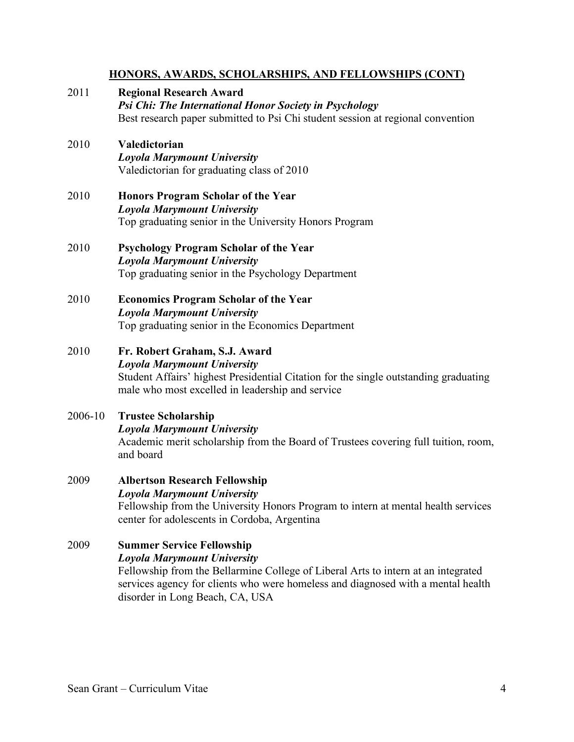## **HONORS, AWARDS, SCHOLARSHIPS, AND FELLOWSHIPS (CONT)**

- 2011 **Regional Research Award** *Psi Chi: The International Honor Society in Psychology* Best research paper submitted to Psi Chi student session at regional convention
- 2010 **Valedictorian** *Loyola Marymount University* Valedictorian for graduating class of 2010
- 2010 **Honors Program Scholar of the Year** *Loyola Marymount University* Top graduating senior in the University Honors Program
- 2010 **Psychology Program Scholar of the Year** *Loyola Marymount University* Top graduating senior in the Psychology Department
- 2010 **Economics Program Scholar of the Year** *Loyola Marymount University* Top graduating senior in the Economics Department
- 2010 **Fr. Robert Graham, S.J. Award** *Loyola Marymount University* Student Affairs' highest Presidential Citation for the single outstanding graduating male who most excelled in leadership and service
- 2006-10 **Trustee Scholarship**  *Loyola Marymount University* Academic merit scholarship from the Board of Trustees covering full tuition, room, and board
- 2009 **Albertson Research Fellowship** *Loyola Marymount University* Fellowship from the University Honors Program to intern at mental health services center for adolescents in Cordoba, Argentina
- 2009 **Summer Service Fellowship** *Loyola Marymount University* Fellowship from the Bellarmine College of Liberal Arts to intern at an integrated services agency for clients who were homeless and diagnosed with a mental health disorder in Long Beach, CA, USA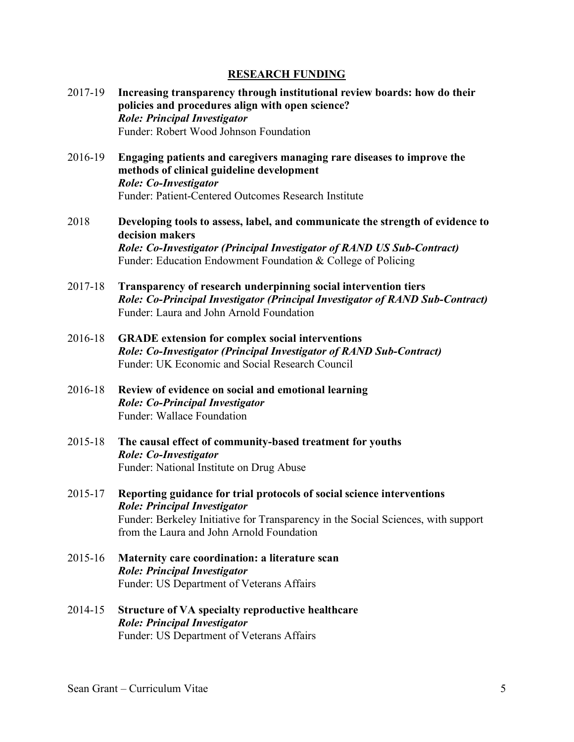### **RESEARCH FUNDING**

- 2017-19 **Increasing transparency through institutional review boards: how do their policies and procedures align with open science?** *Role: Principal Investigator* Funder: Robert Wood Johnson Foundation
- 2016-19 **Engaging patients and caregivers managing rare diseases to improve the methods of clinical guideline development** *Role: Co-Investigator* Funder: Patient-Centered Outcomes Research Institute
- 2018 **Developing tools to assess, label, and communicate the strength of evidence to decision makers** *Role: Co-Investigator (Principal Investigator of RAND US Sub-Contract)* Funder: Education Endowment Foundation & College of Policing
- 2017-18 **Transparency of research underpinning social intervention tiers** *Role: Co-Principal Investigator (Principal Investigator of RAND Sub-Contract)* Funder: Laura and John Arnold Foundation
- 2016-18 **GRADE extension for complex social interventions** *Role: Co-Investigator (Principal Investigator of RAND Sub-Contract)* Funder: UK Economic and Social Research Council
- 2016-18 **Review of evidence on social and emotional learning** *Role: Co-Principal Investigator* Funder: Wallace Foundation
- 2015-18 **The causal effect of community-based treatment for youths** *Role: Co-Investigator* Funder: National Institute on Drug Abuse
- 2015-17 **Reporting guidance for trial protocols of social science interventions** *Role: Principal Investigator* Funder: Berkeley Initiative for Transparency in the Social Sciences, with support from the Laura and John Arnold Foundation
- 2015-16 **Maternity care coordination: a literature scan** *Role: Principal Investigator* Funder: US Department of Veterans Affairs
- 2014-15 **Structure of VA specialty reproductive healthcare** *Role: Principal Investigator* Funder: US Department of Veterans Affairs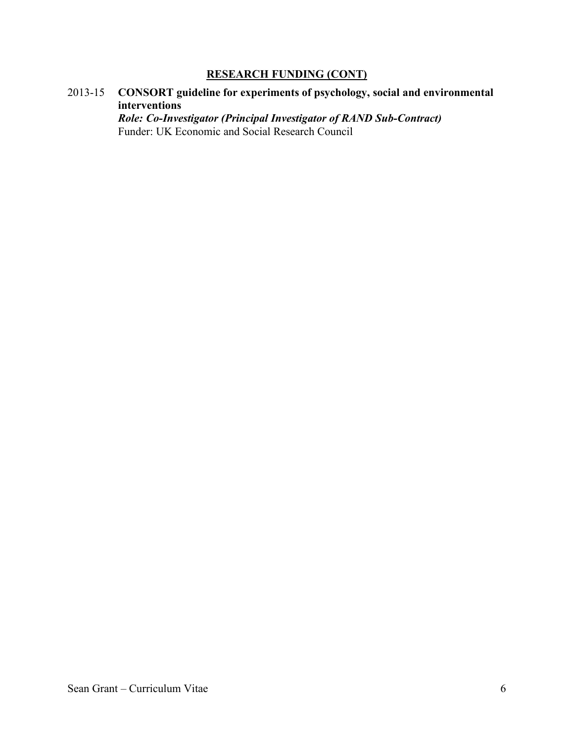# **RESEARCH FUNDING (CONT)**

2013-15 **CONSORT guideline for experiments of psychology, social and environmental interventions**

*Role: Co-Investigator (Principal Investigator of RAND Sub-Contract)* Funder: UK Economic and Social Research Council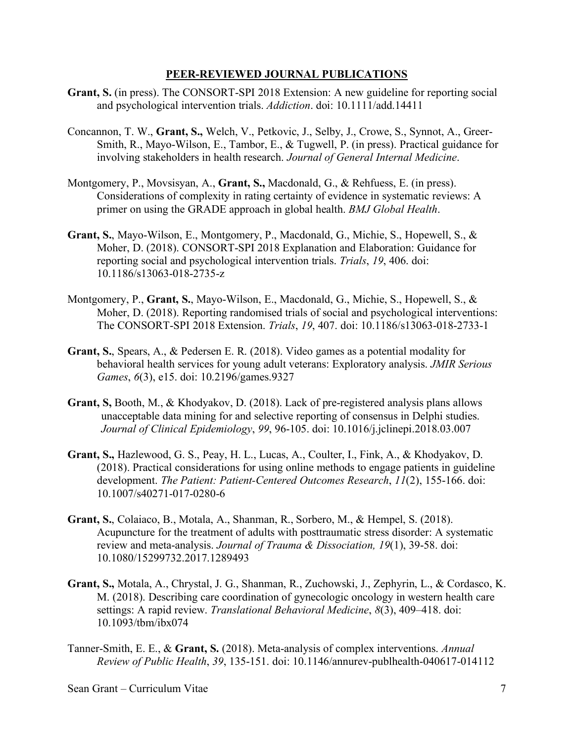- **Grant, S.** (in press). The CONSORT-SPI 2018 Extension: A new guideline for reporting social and psychological intervention trials. *Addiction*. doi: 10.1111/add.14411
- Concannon, T. W., **Grant, S.,** Welch, V., Petkovic, J., Selby, J., Crowe, S., Synnot, A., Greer-Smith, R., Mayo-Wilson, E., Tambor, E., & Tugwell, P. (in press). Practical guidance for involving stakeholders in health research. *Journal of General Internal Medicine*.
- Montgomery, P., Movsisyan, A., **Grant, S.,** Macdonald, G., & Rehfuess, E. (in press). Considerations of complexity in rating certainty of evidence in systematic reviews: A primer on using the GRADE approach in global health. *BMJ Global Health*.
- **Grant, S.**, Mayo-Wilson, E., Montgomery, P., Macdonald, G., Michie, S., Hopewell, S., & Moher, D. (2018). CONSORT-SPI 2018 Explanation and Elaboration: Guidance for reporting social and psychological intervention trials. *Trials*, *19*, 406. doi: 10.1186/s13063-018-2735-z
- Montgomery, P., **Grant, S.**, Mayo-Wilson, E., Macdonald, G., Michie, S., Hopewell, S., & Moher, D. (2018). Reporting randomised trials of social and psychological interventions: The CONSORT-SPI 2018 Extension. *Trials*, *19*, 407. doi: 10.1186/s13063-018-2733-1
- **Grant, S.**, Spears, A., & Pedersen E. R. (2018). Video games as a potential modality for behavioral health services for young adult veterans: Exploratory analysis. *JMIR Serious Games*, *6*(3), e15. doi: 10.2196/games.9327
- **Grant, S,** Booth, M., & Khodyakov, D. (2018). Lack of pre-registered analysis plans allows unacceptable data mining for and selective reporting of consensus in Delphi studies. *Journal of Clinical Epidemiology*, *99*, 96-105. doi: 10.1016/j.jclinepi.2018.03.007
- **Grant, S.,** Hazlewood, G. S., Peay, H. L., Lucas, A., Coulter, I., Fink, A., & Khodyakov, D. (2018). Practical considerations for using online methods to engage patients in guideline development. *The Patient: Patient-Centered Outcomes Research*, *11*(2), 155-166. doi: 10.1007/s40271-017-0280-6
- **Grant, S.**, Colaiaco, B., Motala, A., Shanman, R., Sorbero, M., & Hempel, S. (2018). Acupuncture for the treatment of adults with posttraumatic stress disorder: A systematic review and meta-analysis. *Journal of Trauma & Dissociation, 19*(1), 39-58. doi: 10.1080/15299732.2017.1289493
- **Grant, S.,** Motala, A., Chrystal, J. G., Shanman, R., Zuchowski, J., Zephyrin, L., & Cordasco, K. M. (2018). Describing care coordination of gynecologic oncology in western health care settings: A rapid review. *Translational Behavioral Medicine*, *8*(3), 409–418. doi: 10.1093/tbm/ibx074
- Tanner-Smith, E. E., & **Grant, S.** (2018). Meta-analysis of complex interventions. *Annual Review of Public Health*, *39*, 135-151. doi: 10.1146/annurev-publhealth-040617-014112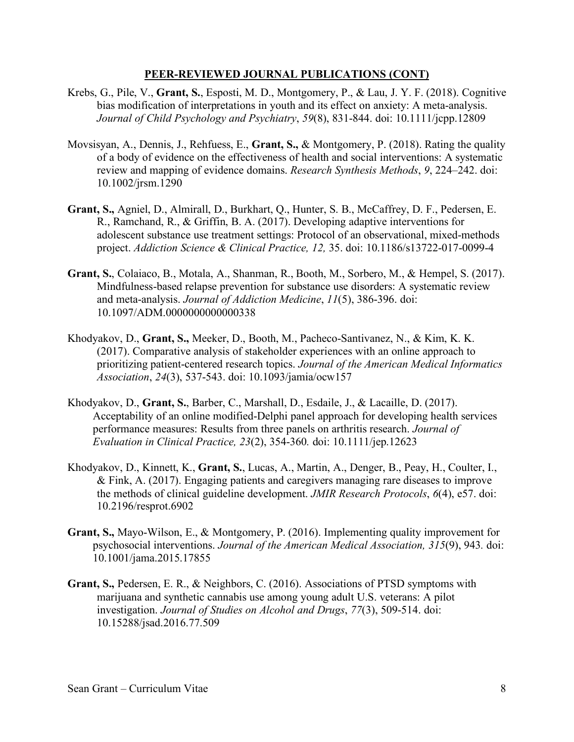- Krebs, G., Pile, V., **Grant, S.**, Esposti, M. D., Montgomery, P., & Lau, J. Y. F. (2018). Cognitive bias modification of interpretations in youth and its effect on anxiety: A meta-analysis. *Journal of Child Psychology and Psychiatry*, *59*(8), 831-844. doi: 10.1111/jcpp.12809
- Movsisyan, A., Dennis, J., Rehfuess, E., **Grant, S.,** & Montgomery, P. (2018). Rating the quality of a body of evidence on the effectiveness of health and social interventions: A systematic review and mapping of evidence domains. *Research Synthesis Methods*, *9*, 224–242. doi: 10.1002/jrsm.1290
- **Grant, S.,** Agniel, D., Almirall, D., Burkhart, Q., Hunter, S. B., McCaffrey, D. F., Pedersen, E. R., Ramchand, R., & Griffin, B. A. (2017). Developing adaptive interventions for adolescent substance use treatment settings: Protocol of an observational, mixed-methods project. *Addiction Science & Clinical Practice, 12,* 35. doi: 10.1186/s13722-017-0099-4
- **Grant, S.**, Colaiaco, B., Motala, A., Shanman, R., Booth, M., Sorbero, M., & Hempel, S. (2017). Mindfulness-based relapse prevention for substance use disorders: A systematic review and meta-analysis. *Journal of Addiction Medicine*, *11*(5), 386-396. doi: 10.1097/ADM.0000000000000338
- Khodyakov, D., **Grant, S.,** Meeker, D., Booth, M., Pacheco-Santivanez, N., & Kim, K. K. (2017). Comparative analysis of stakeholder experiences with an online approach to prioritizing patient-centered research topics. *Journal of the American Medical Informatics Association*, *24*(3), 537-543. doi: 10.1093/jamia/ocw157
- Khodyakov, D., **Grant, S.**, Barber, C., Marshall, D., Esdaile, J., & Lacaille, D. (2017). Acceptability of an online modified-Delphi panel approach for developing health services performance measures: Results from three panels on arthritis research. *Journal of Evaluation in Clinical Practice, 23*(2), 354-360*.* doi: 10.1111/jep.12623
- Khodyakov, D., Kinnett, K., **Grant, S.**, Lucas, A., Martin, A., Denger, B., Peay, H., Coulter, I., & Fink, A. (2017). Engaging patients and caregivers managing rare diseases to improve the methods of clinical guideline development. *JMIR Research Protocols*, *6*(4), e57. doi: 10.2196/resprot.6902
- **Grant, S.,** Mayo-Wilson, E., & Montgomery, P. (2016). Implementing quality improvement for psychosocial interventions. *Journal of the American Medical Association, 315*(9), 943*.* doi: 10.1001/jama.2015.17855
- **Grant, S.,** Pedersen, E. R., & Neighbors, C. (2016). Associations of PTSD symptoms with marijuana and synthetic cannabis use among young adult U.S. veterans: A pilot investigation. *Journal of Studies on Alcohol and Drugs*, *77*(3), 509-514. doi: 10.15288/jsad.2016.77.509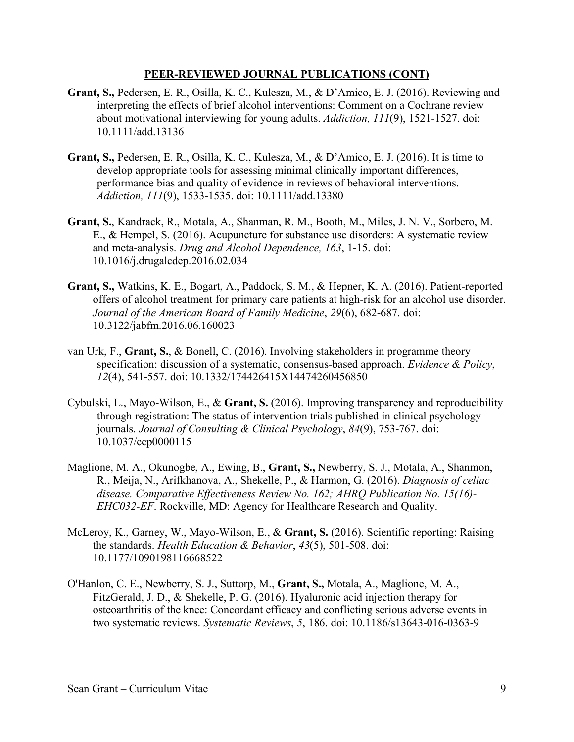- **Grant, S.,** Pedersen, E. R., Osilla, K. C., Kulesza, M., & D'Amico, E. J. (2016). Reviewing and interpreting the effects of brief alcohol interventions: Comment on a Cochrane review about motivational interviewing for young adults. *Addiction, 111*(9), 1521-1527. doi: 10.1111/add.13136
- **Grant, S.,** Pedersen, E. R., Osilla, K. C., Kulesza, M., & D'Amico, E. J. (2016). It is time to develop appropriate tools for assessing minimal clinically important differences, performance bias and quality of evidence in reviews of behavioral interventions. *Addiction, 111*(9), 1533-1535. doi: 10.1111/add.13380
- **Grant, S.**, Kandrack, R., Motala, A., Shanman, R. M., Booth, M., Miles, J. N. V., Sorbero, M. E., & Hempel, S. (2016). Acupuncture for substance use disorders: A systematic review and meta-analysis. *Drug and Alcohol Dependence, 163*, 1-15. doi: 10.1016/j.drugalcdep.2016.02.034
- **Grant, S.,** Watkins, K. E., Bogart, A., Paddock, S. M., & Hepner, K. A. (2016). Patient-reported offers of alcohol treatment for primary care patients at high-risk for an alcohol use disorder. *Journal of the American Board of Family Medicine*, *29*(6), 682-687. doi: 10.3122/jabfm.2016.06.160023
- van Urk, F., **Grant, S.**, & Bonell, C. (2016). Involving stakeholders in programme theory specification: discussion of a systematic, consensus-based approach. *Evidence & Policy*, *12*(4), 541-557. doi: 10.1332/174426415X14474260456850
- Cybulski, L., Mayo-Wilson, E., & **Grant, S.** (2016). Improving transparency and reproducibility through registration: The status of intervention trials published in clinical psychology journals. *Journal of Consulting & Clinical Psychology*, *84*(9), 753-767. doi: 10.1037/ccp0000115
- Maglione, M. A., Okunogbe, A., Ewing, B., **Grant, S.,** Newberry, S. J., Motala, A., Shanmon, R., Meija, N., Arifkhanova, A., Shekelle, P., & Harmon, G. (2016). *Diagnosis of celiac disease. Comparative Effectiveness Review No. 162; AHRQ Publication No. 15(16)- EHC032-EF*. Rockville, MD: Agency for Healthcare Research and Quality.
- McLeroy, K., Garney, W., Mayo-Wilson, E., & **Grant, S.** (2016). Scientific reporting: Raising the standards. *Health Education & Behavior*, *43*(5), 501-508. doi: 10.1177/1090198116668522
- O'Hanlon, C. E., Newberry, S. J., Suttorp, M., **Grant, S.,** Motala, A., Maglione, M. A., FitzGerald, J. D., & Shekelle, P. G. (2016). Hyaluronic acid injection therapy for osteoarthritis of the knee: Concordant efficacy and conflicting serious adverse events in two systematic reviews. *Systematic Reviews*, *5*, 186. doi: 10.1186/s13643-016-0363-9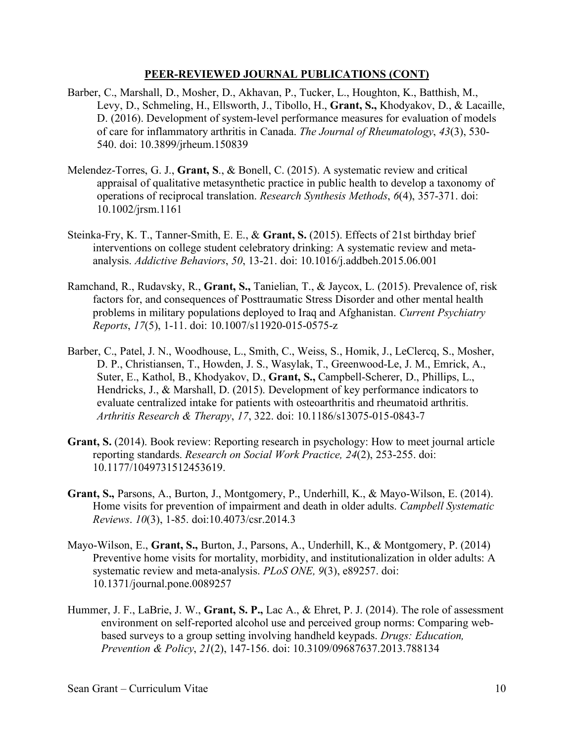- Barber, C., Marshall, D., Mosher, D., Akhavan, P., Tucker, L., Houghton, K., Batthish, M., Levy, D., Schmeling, H., Ellsworth, J., Tibollo, H., **Grant, S.,** Khodyakov, D., & Lacaille, D. (2016). Development of system-level performance measures for evaluation of models of care for inflammatory arthritis in Canada. *The Journal of Rheumatology*, *43*(3), 530- 540. doi: 10.3899/jrheum.150839
- Melendez-Torres, G. J., **Grant, S**., & Bonell, C. (2015). A systematic review and critical appraisal of qualitative metasynthetic practice in public health to develop a taxonomy of operations of reciprocal translation. *Research Synthesis Methods*, *6*(4), 357-371. doi: 10.1002/jrsm.1161
- Steinka-Fry, K. T., Tanner-Smith, E. E., & **Grant, S.** (2015). Effects of 21st birthday brief interventions on college student celebratory drinking: A systematic review and metaanalysis. *Addictive Behaviors*, *50*, 13-21. doi: 10.1016/j.addbeh.2015.06.001
- Ramchand, R., Rudavsky, R., **Grant, S.,** Tanielian, T., & Jaycox, L. (2015). Prevalence of, risk factors for, and consequences of Posttraumatic Stress Disorder and other mental health problems in military populations deployed to Iraq and Afghanistan. *Current Psychiatry Reports*, *17*(5), 1-11. doi: 10.1007/s11920-015-0575-z
- Barber, C., Patel, J. N., Woodhouse, L., Smith, C., Weiss, S., Homik, J., LeClercq, S., Mosher, D. P., Christiansen, T., Howden, J. S., Wasylak, T., Greenwood-Le, J. M., Emrick, A., Suter, E., Kathol, B., Khodyakov, D., **Grant, S.,** Campbell-Scherer, D., Phillips, L., Hendricks, J., & Marshall, D. (2015). Development of key performance indicators to evaluate centralized intake for patients with osteoarthritis and rheumatoid arthritis. *Arthritis Research & Therapy*, *17*, 322. doi: 10.1186/s13075-015-0843-7
- **Grant, S.** (2014). Book review: Reporting research in psychology: How to meet journal article reporting standards. *Research on Social Work Practice, 24*(2), 253-255. doi: 10.1177/1049731512453619.
- **Grant, S.,** Parsons, A., Burton, J., Montgomery, P., Underhill, K., & Mayo-Wilson, E. (2014). Home visits for prevention of impairment and death in older adults. *Campbell Systematic Reviews*. *10*(3), 1-85. doi:10.4073/csr.2014.3
- Mayo-Wilson, E., **Grant, S.,** Burton, J., Parsons, A., Underhill, K., & Montgomery, P. (2014) Preventive home visits for mortality, morbidity, and institutionalization in older adults: A systematic review and meta-analysis. *PLoS ONE, 9*(3), e89257. doi: 10.1371/journal.pone.0089257
- Hummer, J. F., LaBrie, J. W., **Grant, S. P.,** Lac A., & Ehret, P. J. (2014). The role of assessment environment on self-reported alcohol use and perceived group norms: Comparing webbased surveys to a group setting involving handheld keypads. *Drugs: Education, Prevention & Policy*, *21*(2), 147-156. doi: 10.3109/09687637.2013.788134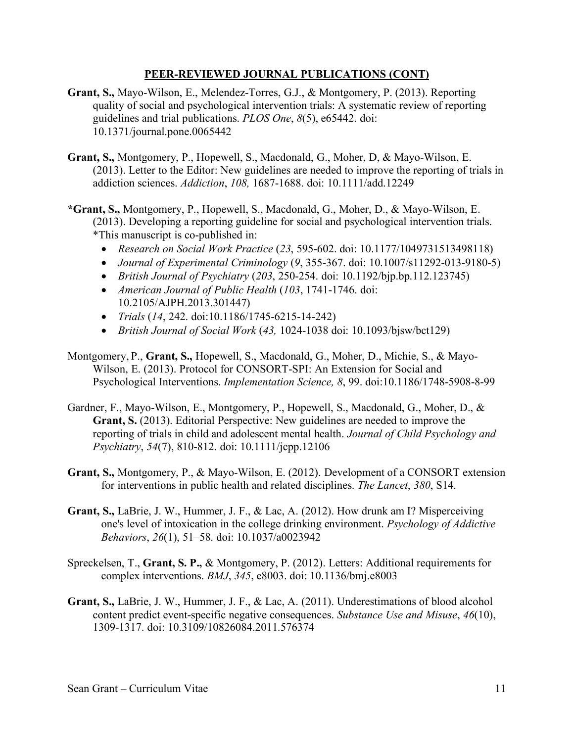- **Grant, S.,** Mayo-Wilson, E., Melendez-Torres, G.J., & Montgomery, P. (2013). Reporting quality of social and psychological intervention trials: A systematic review of reporting guidelines and trial publications. *PLOS One*, *8*(5), e65442. doi: 10.1371/journal.pone.0065442
- **Grant, S.,** Montgomery, P., Hopewell, S., Macdonald, G., Moher, D, & Mayo-Wilson, E. (2013). Letter to the Editor: New guidelines are needed to improve the reporting of trials in addiction sciences. *Addiction*, *108,* 1687-1688. doi: 10.1111/add.12249
- **\*Grant, S.,** Montgomery, P., Hopewell, S., Macdonald, G., Moher, D., & Mayo-Wilson, E. (2013). Developing a reporting guideline for social and psychological intervention trials. \*This manuscript is co-published in:
	- *Research on Social Work Practice* (*23*, 595-602. doi: 10.1177/1049731513498118)
	- *Journal of Experimental Criminology* (*9*, 355-367. doi: 10.1007/s11292-013-9180-5)
	- *British Journal of Psychiatry* (*203*, 250-254. doi: 10.1192/bjp.bp.112.123745)
	- *American Journal of Public Health* (*103*, 1741-1746. doi: 10.2105/AJPH.2013.301447)
	- *Trials* (*14*, 242. doi:10.1186/1745-6215-14-242)
	- *British Journal of Social Work* (*43,* 1024-1038 doi: 10.1093/bjsw/bct129)
- Montgomery, P., **Grant, S.,** Hopewell, S., Macdonald, G., Moher, D., Michie, S., & Mayo-Wilson, E. (2013). Protocol for CONSORT-SPI: An Extension for Social and Psychological Interventions. *Implementation Science, 8*, 99. doi:10.1186/1748-5908-8-99
- Gardner, F., Mayo-Wilson, E., Montgomery, P., Hopewell, S., Macdonald, G., Moher, D., & **Grant, S.** (2013). Editorial Perspective: New guidelines are needed to improve the reporting of trials in child and adolescent mental health. *Journal of Child Psychology and Psychiatry*, *54*(7), 810-812. doi: 10.1111/jcpp.12106
- **Grant, S.,** Montgomery, P., & Mayo-Wilson, E. (2012). Development of a CONSORT extension for interventions in public health and related disciplines. *The Lancet*, *380*, S14.
- **Grant, S.,** LaBrie, J. W., Hummer, J. F., & Lac, A. (2012). How drunk am I? Misperceiving one's level of intoxication in the college drinking environment. *Psychology of Addictive Behaviors*, *26*(1), 51–58. doi: 10.1037/a0023942
- Spreckelsen, T., **Grant, S. P.,** & Montgomery, P. (2012). Letters: Additional requirements for complex interventions. *BMJ*, *345*, e8003. doi: 10.1136/bmj.e8003
- **Grant, S.,** LaBrie, J. W., Hummer, J. F., & Lac, A. (2011). Underestimations of blood alcohol content predict event-specific negative consequences. *Substance Use and Misuse*, *46*(10), 1309-1317. doi: 10.3109/10826084.2011.576374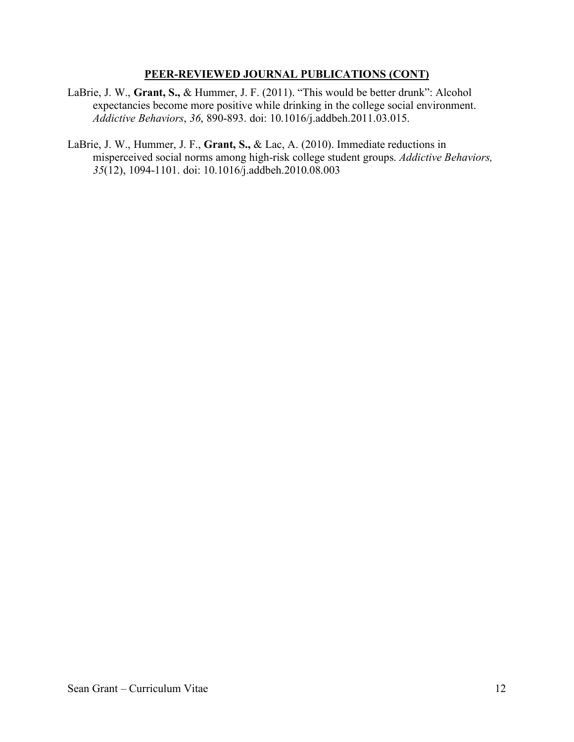- LaBrie, J. W., **Grant, S.,** & Hummer, J. F. (2011). "This would be better drunk": Alcohol expectancies become more positive while drinking in the college social environment. *Addictive Behaviors*, *36*, 890-893. doi: 10.1016/j.addbeh.2011.03.015.
- LaBrie, J. W., Hummer, J. F., **Grant, S.,** & Lac, A. (2010). Immediate reductions in misperceived social norms among high-risk college student groups. *Addictive Behaviors, 35*(12), 1094-1101. doi: 10.1016/j.addbeh.2010.08.003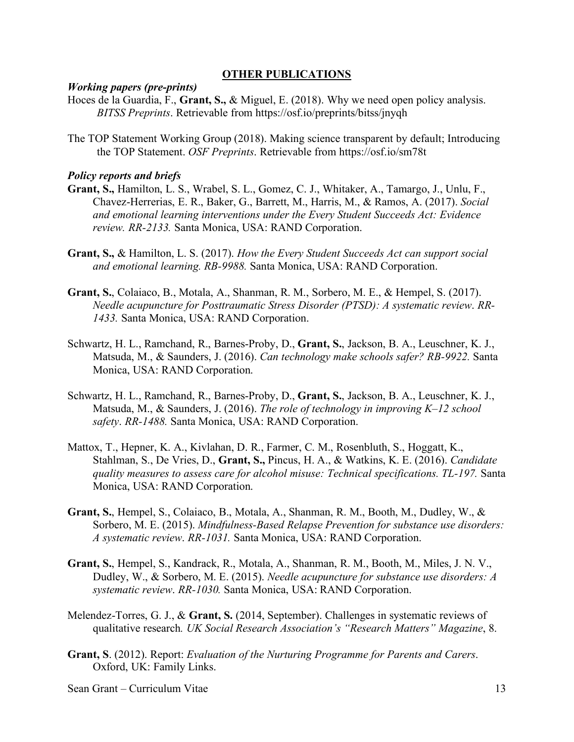### **OTHER PUBLICATIONS**

### *Working papers (pre-prints)*

- Hoces de la Guardia, F., **Grant, S.,** & Miguel, E. (2018). Why we need open policy analysis. *BITSS Preprints*. Retrievable from https://osf.io/preprints/bitss/jnyqh
- The TOP Statement Working Group (2018). Making science transparent by default; Introducing the TOP Statement. *OSF Preprints*. Retrievable from https://osf.io/sm78t

### *Policy reports and briefs*

- **Grant, S.,** Hamilton, L. S., Wrabel, S. L., Gomez, C. J., Whitaker, A., Tamargo, J., Unlu, F., Chavez-Herrerias, E. R., Baker, G., Barrett, M., Harris, M., & Ramos, A. (2017). *Social and emotional learning interventions under the Every Student Succeeds Act: Evidence review. RR-2133.* Santa Monica, USA: RAND Corporation.
- **Grant, S.,** & Hamilton, L. S. (2017). *How the Every Student Succeeds Act can support social and emotional learning. RB-9988.* Santa Monica, USA: RAND Corporation.
- **Grant, S.**, Colaiaco, B., Motala, A., Shanman, R. M., Sorbero, M. E., & Hempel, S. (2017). *Needle acupuncture for Posttraumatic Stress Disorder (PTSD): A systematic review*. *RR-1433.* Santa Monica, USA: RAND Corporation.
- Schwartz, H. L., Ramchand, R., Barnes-Proby, D., **Grant, S.**, Jackson, B. A., Leuschner, K. J., Matsuda, M., & Saunders, J. (2016). *Can technology make schools safer? RB-9922.* Santa Monica, USA: RAND Corporation.
- Schwartz, H. L., Ramchand, R., Barnes-Proby, D., **Grant, S.**, Jackson, B. A., Leuschner, K. J., Matsuda, M., & Saunders, J. (2016). *The role of technology in improving K–12 school safety*. *RR-1488.* Santa Monica, USA: RAND Corporation.
- Mattox, T., Hepner, K. A., Kivlahan, D. R., Farmer, C. M., Rosenbluth, S., Hoggatt, K., Stahlman, S., De Vries, D., **Grant, S.,** Pincus, H. A., & Watkins, K. E. (2016). *Candidate quality measures to assess care for alcohol misuse: Technical specifications. TL-197.* Santa Monica, USA: RAND Corporation.
- **Grant, S.**, Hempel, S., Colaiaco, B., Motala, A., Shanman, R. M., Booth, M., Dudley, W., & Sorbero, M. E. (2015). *Mindfulness-Based Relapse Prevention for substance use disorders: A systematic review*. *RR-1031.* Santa Monica, USA: RAND Corporation.
- **Grant, S.**, Hempel, S., Kandrack, R., Motala, A., Shanman, R. M., Booth, M., Miles, J. N. V., Dudley, W., & Sorbero, M. E. (2015). *Needle acupuncture for substance use disorders: A systematic review*. *RR-1030.* Santa Monica, USA: RAND Corporation.
- Melendez-Torres, G. J., & **Grant, S.** (2014, September). Challenges in systematic reviews of qualitative research*. UK Social Research Association's "Research Matters" Magazine*, 8.
- **Grant, S**. (2012). Report: *Evaluation of the Nurturing Programme for Parents and Carers*. Oxford, UK: Family Links.

Sean Grant – Curriculum Vitae 13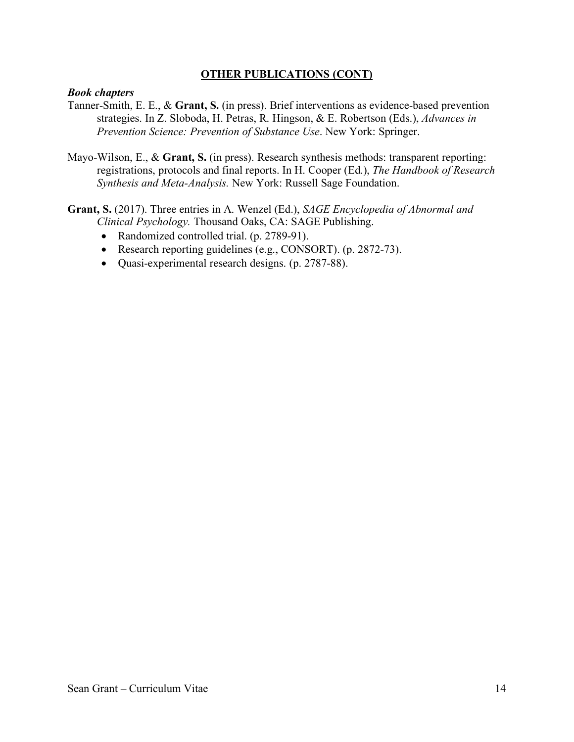## **OTHER PUBLICATIONS (CONT)**

### *Book chapters*

- Tanner-Smith, E. E., & **Grant, S.** (in press). Brief interventions as evidence-based prevention strategies. In Z. Sloboda, H. Petras, R. Hingson, & E. Robertson (Eds.), *Advances in Prevention Science: Prevention of Substance Use*. New York: Springer.
- Mayo-Wilson, E., & **Grant, S.** (in press). Research synthesis methods: transparent reporting: registrations, protocols and final reports. In H. Cooper (Ed.), *The Handbook of Research Synthesis and Meta-Analysis.* New York: Russell Sage Foundation.

**Grant, S.** (2017). Three entries in A. Wenzel (Ed.), *SAGE Encyclopedia of Abnormal and Clinical Psychology.* Thousand Oaks, CA: SAGE Publishing.

- Randomized controlled trial. (p. 2789-91).
- Research reporting guidelines (e.g., CONSORT). (p. 2872-73).
- Quasi-experimental research designs. (p. 2787-88).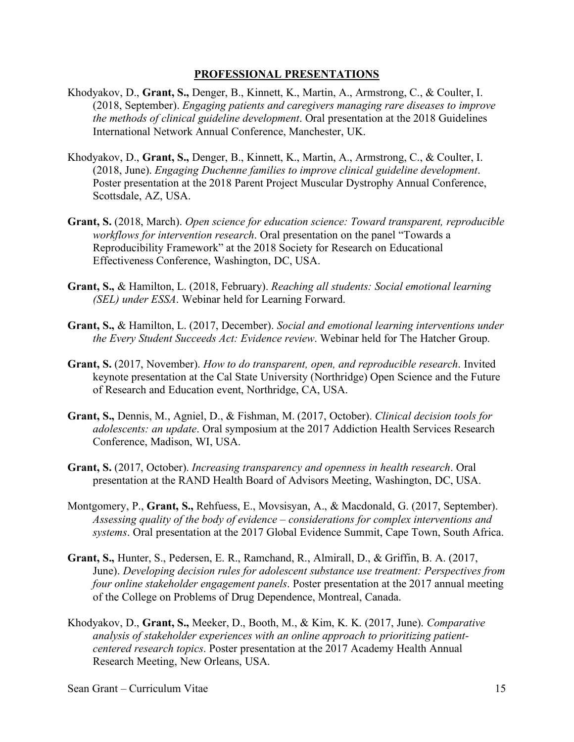### **PROFESSIONAL PRESENTATIONS**

- Khodyakov, D., **Grant, S.,** Denger, B., Kinnett, K., Martin, A., Armstrong, C., & Coulter, I. (2018, September). *Engaging patients and caregivers managing rare diseases to improve the methods of clinical guideline development*. Oral presentation at the 2018 Guidelines International Network Annual Conference, Manchester, UK.
- Khodyakov, D., **Grant, S.,** Denger, B., Kinnett, K., Martin, A., Armstrong, C., & Coulter, I. (2018, June). *Engaging Duchenne families to improve clinical guideline development*. Poster presentation at the 2018 Parent Project Muscular Dystrophy Annual Conference, Scottsdale, AZ, USA.
- **Grant, S.** (2018, March). *Open science for education science: Toward transparent, reproducible workflows for intervention research*. Oral presentation on the panel "Towards a Reproducibility Framework" at the 2018 Society for Research on Educational Effectiveness Conference, Washington, DC, USA.
- **Grant, S.,** & Hamilton, L. (2018, February). *Reaching all students: Social emotional learning (SEL) under ESSA*. Webinar held for Learning Forward.
- **Grant, S.,** & Hamilton, L. (2017, December). *Social and emotional learning interventions under the Every Student Succeeds Act: Evidence review*. Webinar held for The Hatcher Group.
- **Grant, S.** (2017, November). *How to do transparent, open, and reproducible research*. Invited keynote presentation at the Cal State University (Northridge) Open Science and the Future of Research and Education event, Northridge, CA, USA.
- **Grant, S.,** Dennis, M., Agniel, D., & Fishman, M. (2017, October). *Clinical decision tools for adolescents: an update*. Oral symposium at the 2017 Addiction Health Services Research Conference, Madison, WI, USA.
- **Grant, S.** (2017, October). *Increasing transparency and openness in health research*. Oral presentation at the RAND Health Board of Advisors Meeting, Washington, DC, USA.
- Montgomery, P., **Grant, S.,** Rehfuess, E., Movsisyan, A., & Macdonald, G. (2017, September). *Assessing quality of the body of evidence – considerations for complex interventions and systems*. Oral presentation at the 2017 Global Evidence Summit, Cape Town, South Africa.
- **Grant, S.,** Hunter, S., Pedersen, E. R., Ramchand, R., Almirall, D., & Griffin, B. A. (2017, June). *Developing decision rules for adolescent substance use treatment: Perspectives from four online stakeholder engagement panels*. Poster presentation at the 2017 annual meeting of the College on Problems of Drug Dependence, Montreal, Canada.
- Khodyakov, D., **Grant, S.,** Meeker, D., Booth, M., & Kim, K. K. (2017, June). *Comparative analysis of stakeholder experiences with an online approach to prioritizing patientcentered research topics*. Poster presentation at the 2017 Academy Health Annual Research Meeting, New Orleans, USA.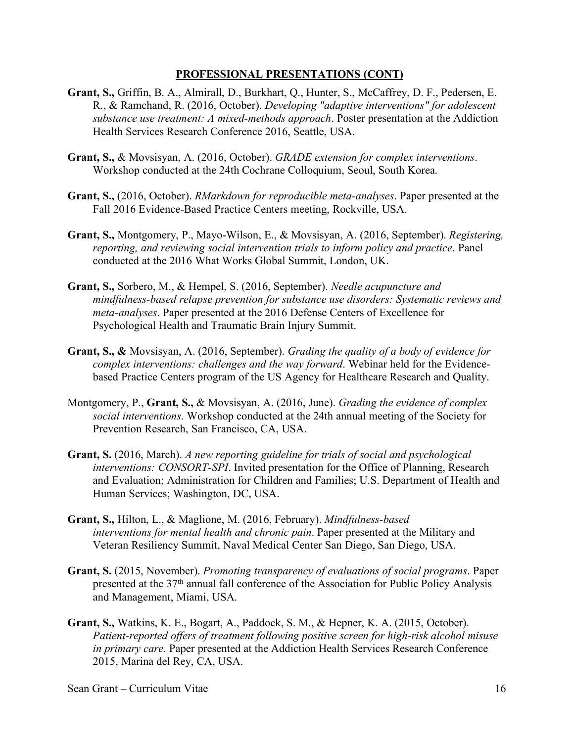- **Grant, S.,** Griffin, B. A., Almirall, D., Burkhart, Q., Hunter, S., McCaffrey, D. F., Pedersen, E. R., & Ramchand, R. (2016, October). *Developing "adaptive interventions" for adolescent substance use treatment: A mixed-methods approach*. Poster presentation at the Addiction Health Services Research Conference 2016, Seattle, USA.
- **Grant, S.,** & Movsisyan, A. (2016, October). *GRADE extension for complex interventions*. Workshop conducted at the 24th Cochrane Colloquium, Seoul, South Korea.
- **Grant, S.,** (2016, October). *RMarkdown for reproducible meta-analyses*. Paper presented at the Fall 2016 Evidence-Based Practice Centers meeting, Rockville, USA.
- **Grant, S.,** Montgomery, P., Mayo-Wilson, E., & Movsisyan, A. (2016, September). *Registering, reporting, and reviewing social intervention trials to inform policy and practice*. Panel conducted at the 2016 What Works Global Summit, London, UK.
- **Grant, S.,** Sorbero, M., & Hempel, S. (2016, September). *Needle acupuncture and mindfulness-based relapse prevention for substance use disorders: Systematic reviews and meta-analyses*. Paper presented at the 2016 Defense Centers of Excellence for Psychological Health and Traumatic Brain Injury Summit.
- **Grant, S., &** Movsisyan, A. (2016, September). *Grading the quality of a body of evidence for complex interventions: challenges and the way forward*. Webinar held for the Evidencebased Practice Centers program of the US Agency for Healthcare Research and Quality.
- Montgomery, P., **Grant, S.,** & Movsisyan, A. (2016, June). *Grading the evidence of complex social interventions*. Workshop conducted at the 24th annual meeting of the Society for Prevention Research, San Francisco, CA, USA.
- **Grant, S.** (2016, March). *A new reporting guideline for trials of social and psychological interventions: CONSORT-SPI*. Invited presentation for the Office of Planning, Research and Evaluation; Administration for Children and Families; U.S. Department of Health and Human Services; Washington, DC, USA.
- **Grant, S.,** Hilton, L., & Maglione, M. (2016, February). *Mindfulness-based interventions for mental health and chronic pain*. Paper presented at the Military and Veteran Resiliency Summit, Naval Medical Center San Diego, San Diego, USA.
- **Grant, S.** (2015, November). *Promoting transparency of evaluations of social programs*. Paper presented at the 37th annual fall conference of the Association for Public Policy Analysis and Management, Miami, USA.
- **Grant, S.,** Watkins, K. E., Bogart, A., Paddock, S. M., & Hepner, K. A. (2015, October). *Patient-reported offers of treatment following positive screen for high-risk alcohol misuse in primary care*. Paper presented at the Addiction Health Services Research Conference 2015, Marina del Rey, CA, USA.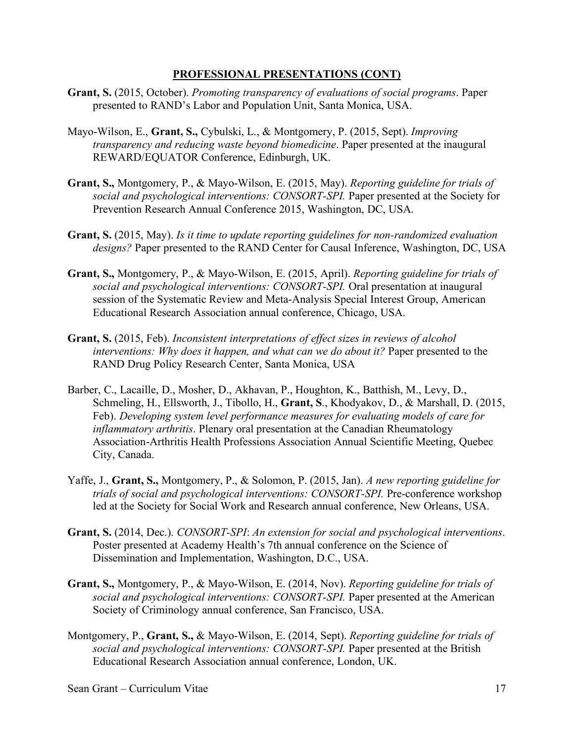- **Grant, S.** (2015, October). *Promoting transparency of evaluations of social programs*. Paper presented to RAND's Labor and Population Unit, Santa Monica, USA.
- Mayo-Wilson, E., **Grant, S.,** Cybulski, L., & Montgomery, P. (2015, Sept). *Improving transparency and reducing waste beyond biomedicine*. Paper presented at the inaugural REWARD/EQUATOR Conference, Edinburgh, UK.
- **Grant, S.,** Montgomery, P., & Mayo-Wilson, E. (2015, May). *Reporting guideline for trials of social and psychological interventions: CONSORT-SPI.* Paper presented at the Society for Prevention Research Annual Conference 2015, Washington, DC, USA.
- **Grant, S.** (2015, May). *Is it time to update reporting guidelines for non-randomized evaluation designs?* Paper presented to the RAND Center for Causal Inference, Washington, DC, USA
- **Grant, S.,** Montgomery, P., & Mayo-Wilson, E. (2015, April). *Reporting guideline for trials of social and psychological interventions: CONSORT-SPI.* Oral presentation at inaugural session of the Systematic Review and Meta-Analysis Special Interest Group, American Educational Research Association annual conference, Chicago, USA.
- **Grant, S.** (2015, Feb). *Inconsistent interpretations of effect sizes in reviews of alcohol interventions: Why does it happen, and what can we do about it?* Paper presented to the RAND Drug Policy Research Center, Santa Monica, USA
- Barber, C., Lacaille, D., Mosher, D., Akhavan, P., Houghton, K., Batthish, M., Levy, D., Schmeling, H., Ellsworth, J., Tibollo, H., **Grant, S**., Khodyakov, D., & Marshall, D. (2015, Feb). *Developing system level performance measures for evaluating models of care for inflammatory arthritis*. Plenary oral presentation at the Canadian Rheumatology Association-Arthritis Health Professions Association Annual Scientific Meeting, Quebec City, Canada.
- Yaffe, J., **Grant, S.,** Montgomery, P., & Solomon, P. (2015, Jan). *A new reporting guideline for trials of social and psychological interventions: CONSORT-SPI.* Pre-conference workshop led at the Society for Social Work and Research annual conference, New Orleans, USA.
- **Grant, S.** (2014, Dec.). *CONSORT-SPI*: *An extension for social and psychological interventions*. Poster presented at Academy Health's 7th annual conference on the Science of Dissemination and Implementation, Washington, D.C., USA.
- **Grant, S.,** Montgomery, P., & Mayo-Wilson, E. (2014, Nov). *Reporting guideline for trials of social and psychological interventions: CONSORT-SPI.* Paper presented at the American Society of Criminology annual conference, San Francisco, USA.
- Montgomery, P., **Grant, S.,** & Mayo-Wilson, E. (2014, Sept). *Reporting guideline for trials of social and psychological interventions: CONSORT-SPI.* Paper presented at the British Educational Research Association annual conference, London, UK.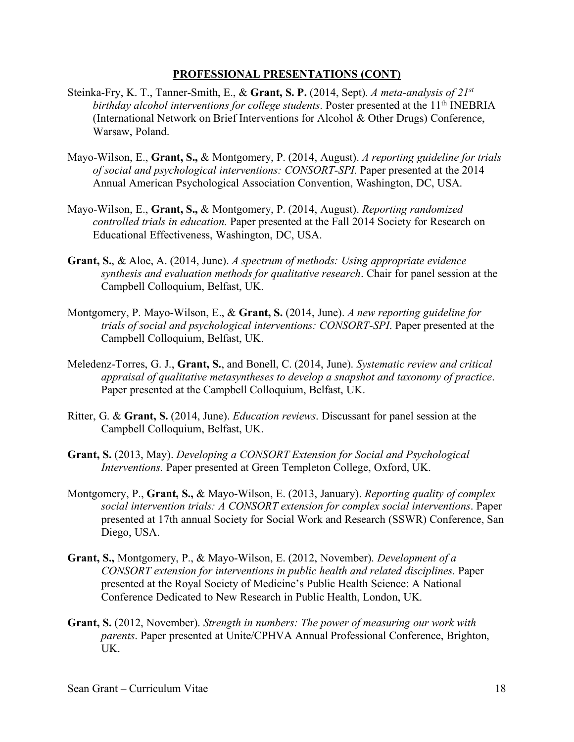- Steinka-Fry, K. T., Tanner-Smith, E., & **Grant, S. P.** (2014, Sept). *A meta-analysis of 21st birthday alcohol interventions for college students.* Poster presented at the 11<sup>th</sup> INEBRIA (International Network on Brief Interventions for Alcohol & Other Drugs) Conference, Warsaw, Poland.
- Mayo-Wilson, E., **Grant, S.,** & Montgomery, P. (2014, August). *A reporting guideline for trials of social and psychological interventions: CONSORT-SPI.* Paper presented at the 2014 Annual American Psychological Association Convention, Washington, DC, USA.
- Mayo-Wilson, E., **Grant, S.,** & Montgomery, P. (2014, August). *Reporting randomized controlled trials in education.* Paper presented at the Fall 2014 Society for Research on Educational Effectiveness, Washington, DC, USA.
- **Grant, S.**, & Aloe, A. (2014, June). *A spectrum of methods: Using appropriate evidence synthesis and evaluation methods for qualitative research*. Chair for panel session at the Campbell Colloquium, Belfast, UK.
- Montgomery, P. Mayo-Wilson, E., & **Grant, S.** (2014, June). *A new reporting guideline for trials of social and psychological interventions: CONSORT-SPI*. Paper presented at the Campbell Colloquium, Belfast, UK.
- Meledenz-Torres, G. J., **Grant, S.**, and Bonell, C. (2014, June). *Systematic review and critical appraisal of qualitative metasyntheses to develop a snapshot and taxonomy of practice*. Paper presented at the Campbell Colloquium, Belfast, UK.
- Ritter, G. & **Grant, S.** (2014, June). *Education reviews*. Discussant for panel session at the Campbell Colloquium, Belfast, UK.
- **Grant, S.** (2013, May). *Developing a CONSORT Extension for Social and Psychological Interventions.* Paper presented at Green Templeton College, Oxford, UK.
- Montgomery, P., **Grant, S.,** & Mayo-Wilson, E. (2013, January). *Reporting quality of complex social intervention trials: A CONSORT extension for complex social interventions*. Paper presented at 17th annual Society for Social Work and Research (SSWR) Conference, San Diego, USA.
- **Grant, S.,** Montgomery, P., & Mayo-Wilson, E. (2012, November). *Development of a CONSORT extension for interventions in public health and related disciplines.* Paper presented at the Royal Society of Medicine's Public Health Science: A National Conference Dedicated to New Research in Public Health, London, UK.
- **Grant, S.** (2012, November). *Strength in numbers: The power of measuring our work with parents*. Paper presented at Unite/CPHVA Annual Professional Conference, Brighton, UK.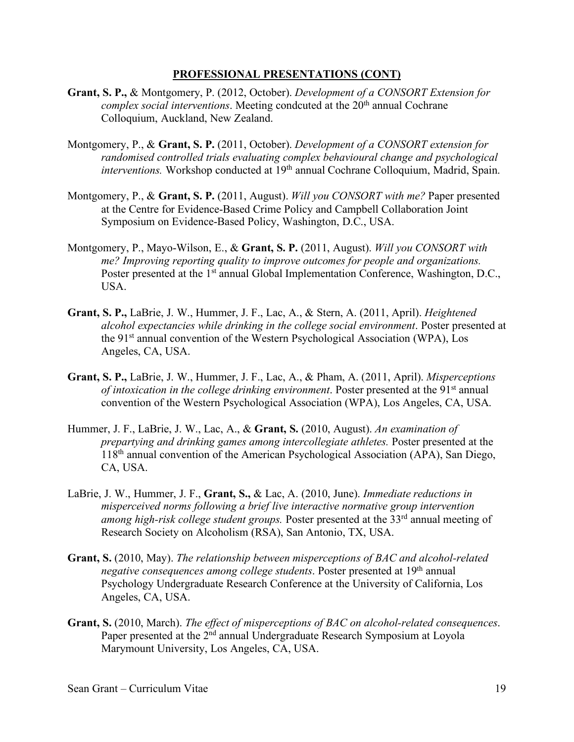- **Grant, S. P.,** & Montgomery, P. (2012, October). *Development of a CONSORT Extension for complex social interventions.* Meeting condcuted at the 20<sup>th</sup> annual Cochrane Colloquium, Auckland, New Zealand.
- Montgomery, P., & **Grant, S. P.** (2011, October). *Development of a CONSORT extension for randomised controlled trials evaluating complex behavioural change and psychological interventions.* Workshop conducted at 19<sup>th</sup> annual Cochrane Colloquium, Madrid, Spain.
- Montgomery, P., & **Grant, S. P.** (2011, August). *Will you CONSORT with me?* Paper presented at the Centre for Evidence-Based Crime Policy and Campbell Collaboration Joint Symposium on Evidence-Based Policy, Washington, D.C., USA.
- Montgomery, P., Mayo-Wilson, E., & **Grant, S. P.** (2011, August). *Will you CONSORT with me? Improving reporting quality to improve outcomes for people and organizations.*  Poster presented at the 1<sup>st</sup> annual Global Implementation Conference, Washington, D.C., USA.
- **Grant, S. P.,** LaBrie, J. W., Hummer, J. F., Lac, A., & Stern, A. (2011, April). *Heightened alcohol expectancies while drinking in the college social environment*. Poster presented at the 91st annual convention of the Western Psychological Association (WPA), Los Angeles, CA, USA.
- **Grant, S. P.,** LaBrie, J. W., Hummer, J. F., Lac, A., & Pham, A. (2011, April). *Misperceptions of intoxication in the college drinking environment.* Poster presented at the 91<sup>st</sup> annual convention of the Western Psychological Association (WPA), Los Angeles, CA, USA.
- Hummer, J. F., LaBrie, J. W., Lac, A., & **Grant, S.** (2010, August). *An examination of prepartying and drinking games among intercollegiate athletes.* Poster presented at the 118th annual convention of the American Psychological Association (APA), San Diego, CA, USA.
- LaBrie, J. W., Hummer, J. F., **Grant, S.,** & Lac, A. (2010, June). *Immediate reductions in misperceived norms following a brief live interactive normative group intervention among high-risk college student groups.* Poster presented at the 33<sup>rd</sup> annual meeting of Research Society on Alcoholism (RSA), San Antonio, TX, USA.
- **Grant, S.** (2010, May). *The relationship between misperceptions of BAC and alcohol-related negative consequences among college students.* Poster presented at 19<sup>th</sup> annual Psychology Undergraduate Research Conference at the University of California, Los Angeles, CA, USA.
- **Grant, S.** (2010, March). *The effect of misperceptions of BAC on alcohol-related consequences*. Paper presented at the 2<sup>nd</sup> annual Undergraduate Research Symposium at Loyola Marymount University, Los Angeles, CA, USA.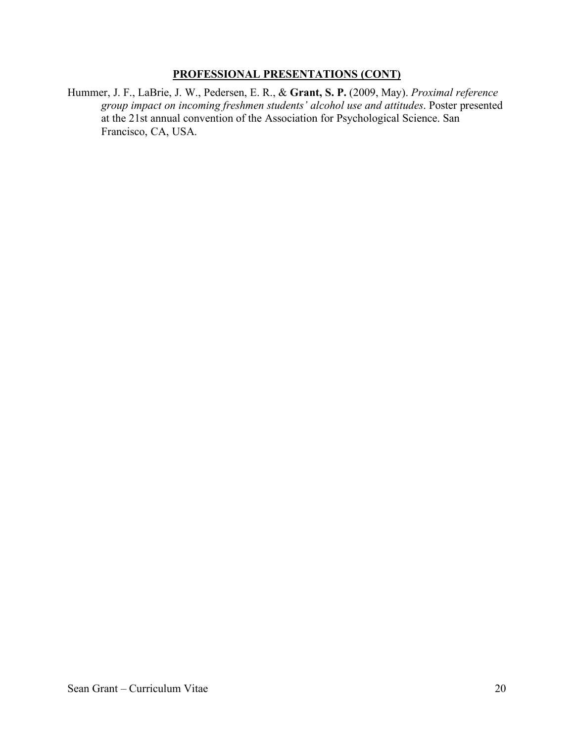Hummer, J. F., LaBrie, J. W., Pedersen, E. R., & **Grant, S. P.** (2009, May). *Proximal reference group impact on incoming freshmen students' alcohol use and attitudes*. Poster presented at the 21st annual convention of the Association for Psychological Science. San Francisco, CA, USA.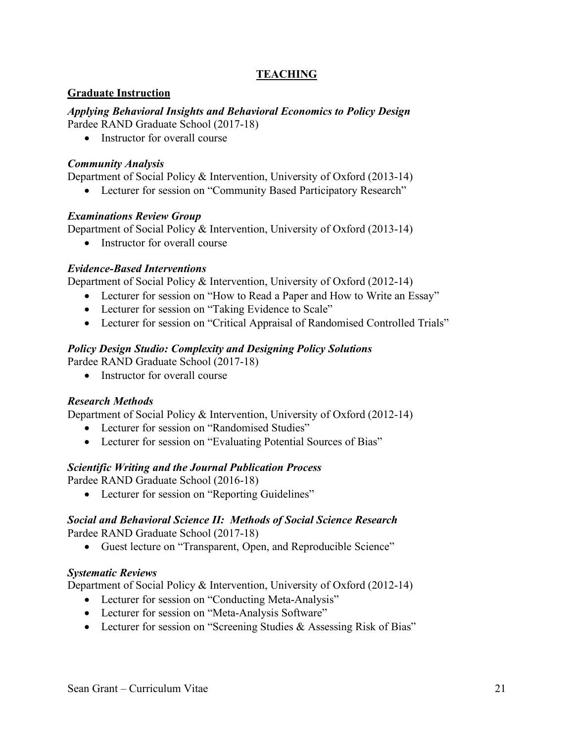# **TEACHING**

## **Graduate Instruction**

*Applying Behavioral Insights and Behavioral Economics to Policy Design* Pardee RAND Graduate School (2017-18)

• Instructor for overall course

## *Community Analysis*

Department of Social Policy & Intervention, University of Oxford (2013-14)

• Lecturer for session on "Community Based Participatory Research"

## *Examinations Review Group*

Department of Social Policy & Intervention, University of Oxford (2013-14)

• Instructor for overall course

## *Evidence-Based Interventions*

Department of Social Policy & Intervention, University of Oxford (2012-14)

- Lecturer for session on "How to Read a Paper and How to Write an Essay"
- Lecturer for session on "Taking Evidence to Scale"
- Lecturer for session on "Critical Appraisal of Randomised Controlled Trials"

## *Policy Design Studio: Complexity and Designing Policy Solutions*

Pardee RAND Graduate School (2017-18)

• Instructor for overall course

## *Research Methods*

Department of Social Policy & Intervention, University of Oxford (2012-14)

- Lecturer for session on "Randomised Studies"
- Lecturer for session on "Evaluating Potential Sources of Bias"

## *Scientific Writing and the Journal Publication Process*

Pardee RAND Graduate School (2016-18)

• Lecturer for session on "Reporting Guidelines"

# *Social and Behavioral Science II: Methods of Social Science Research*

Pardee RAND Graduate School (2017-18)

• Guest lecture on "Transparent, Open, and Reproducible Science"

## *Systematic Reviews*

Department of Social Policy & Intervention, University of Oxford (2012-14)

- Lecturer for session on "Conducting Meta-Analysis"
- Lecturer for session on "Meta-Analysis Software"
- Lecturer for session on "Screening Studies & Assessing Risk of Bias"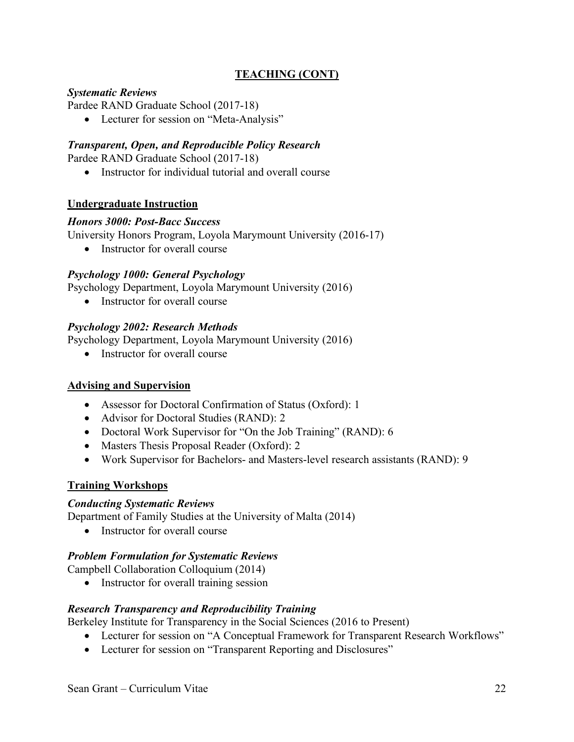# **TEACHING (CONT)**

## *Systematic Reviews*

Pardee RAND Graduate School (2017-18)

• Lecturer for session on "Meta-Analysis"

## *Transparent, Open, and Reproducible Policy Research*

Pardee RAND Graduate School (2017-18)

• Instructor for individual tutorial and overall course

## **Undergraduate Instruction**

### *Honors 3000: Post-Bacc Success*

University Honors Program, Loyola Marymount University (2016-17)

• Instructor for overall course

## *Psychology 1000: General Psychology*

Psychology Department, Loyola Marymount University (2016)

• Instructor for overall course

## *Psychology 2002: Research Methods*

Psychology Department, Loyola Marymount University (2016)

• Instructor for overall course

### **Advising and Supervision**

- Assessor for Doctoral Confirmation of Status (Oxford): 1
- Advisor for Doctoral Studies (RAND): 2
- Doctoral Work Supervisor for "On the Job Training" (RAND): 6
- Masters Thesis Proposal Reader (Oxford): 2
- Work Supervisor for Bachelors- and Masters-level research assistants (RAND): 9

### **Training Workshops**

### *Conducting Systematic Reviews*

Department of Family Studies at the University of Malta (2014)

• Instructor for overall course

## *Problem Formulation for Systematic Reviews*

Campbell Collaboration Colloquium (2014)

• Instructor for overall training session

## *Research Transparency and Reproducibility Training*

Berkeley Institute for Transparency in the Social Sciences (2016 to Present)

- Lecturer for session on "A Conceptual Framework for Transparent Research Workflows"
- Lecturer for session on "Transparent Reporting and Disclosures"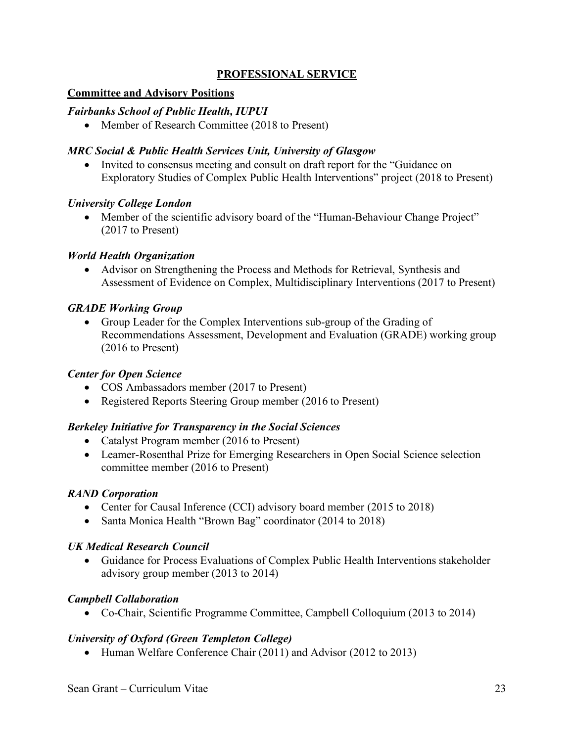# **PROFESSIONAL SERVICE**

## **Committee and Advisory Positions**

## *Fairbanks School of Public Health, IUPUI*

• Member of Research Committee (2018 to Present)

## *MRC Social & Public Health Services Unit, University of Glasgow*

• Invited to consensus meeting and consult on draft report for the "Guidance on Exploratory Studies of Complex Public Health Interventions" project (2018 to Present)

## *University College London*

• Member of the scientific advisory board of the "Human-Behaviour Change Project" (2017 to Present)

## *World Health Organization*

• Advisor on Strengthening the Process and Methods for Retrieval, Synthesis and Assessment of Evidence on Complex, Multidisciplinary Interventions (2017 to Present)

## *GRADE Working Group*

• Group Leader for the Complex Interventions sub-group of the Grading of Recommendations Assessment, Development and Evaluation (GRADE) working group (2016 to Present)

### *Center for Open Science*

- COS Ambassadors member (2017 to Present)
- Registered Reports Steering Group member (2016 to Present)

### *Berkeley Initiative for Transparency in the Social Sciences*

- Catalyst Program member (2016 to Present)
- Leamer-Rosenthal Prize for Emerging Researchers in Open Social Science selection committee member (2016 to Present)

### *RAND Corporation*

- Center for Causal Inference (CCI) advisory board member (2015 to 2018)
- Santa Monica Health "Brown Bag" coordinator (2014 to 2018)

### *UK Medical Research Council*

• Guidance for Process Evaluations of Complex Public Health Interventions stakeholder advisory group member (2013 to 2014)

## *Campbell Collaboration*

• Co-Chair, Scientific Programme Committee, Campbell Colloquium (2013 to 2014)

## *University of Oxford (Green Templeton College)*

• Human Welfare Conference Chair (2011) and Advisor (2012 to 2013)